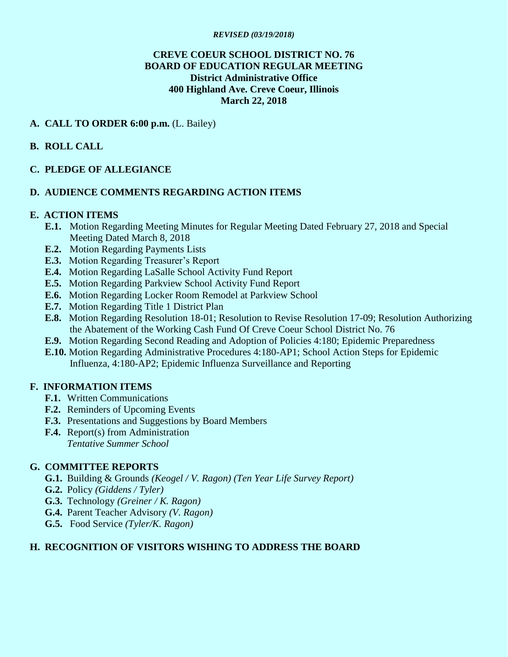#### *REVISED (03/19/2018)*

### **CREVE COEUR SCHOOL DISTRICT NO. 76 BOARD OF EDUCATION REGULAR MEETING District Administrative Office 400 Highland Ave. Creve Coeur, Illinois March 22, 2018**

#### **A. CALL TO ORDER 6:00 p.m.** (L. Bailey)

**B. ROLL CALL** 

### **C. PLEDGE OF ALLEGIANCE**

### **D. AUDIENCE COMMENTS REGARDING ACTION ITEMS**

#### **E. ACTION ITEMS**

- **E.1.** Motion Regarding Meeting Minutes for Regular Meeting Dated February 27, 2018 and Special Meeting Dated March 8, 2018
- **E.2.** Motion Regarding Payments Lists
- **E.3.** Motion Regarding Treasurer's Report
- **E.4.** Motion Regarding LaSalle School Activity Fund Report
- **E.5.** Motion Regarding Parkview School Activity Fund Report
- **E.6.** Motion Regarding Locker Room Remodel at Parkview School
- **E.7.** Motion Regarding Title 1 District Plan
- **E.8.** Motion Regarding Resolution 18-01; Resolution to Revise Resolution 17-09; Resolution Authorizing the Abatement of the Working Cash Fund Of Creve Coeur School District No. 76
- **E.9.** Motion Regarding Second Reading and Adoption of Policies 4:180; Epidemic Preparedness
- **E.10.** Motion Regarding Administrative Procedures 4:180-AP1; School Action Steps for Epidemic Influenza, 4:180-AP2; Epidemic Influenza Surveillance and Reporting

#### **F. INFORMATION ITEMS**

- **F.1.** Written Communications
- **F.2.** Reminders of Upcoming Events
- **F.3.** Presentations and Suggestions by Board Members
- **F.4.** Report(s) from Administration
	- *Tentative Summer School*

### **G. COMMITTEE REPORTS**

- **G.1.** Building & Grounds *(Keogel / V. Ragon) (Ten Year Life Survey Report)*
- **G.2.** Policy *(Giddens / Tyler)*
- **G.3.** Technology *(Greiner / K. Ragon)*
- **G.4.** Parent Teacher Advisory *(V. Ragon)*
- **G.5.** Food Service *(Tyler/K. Ragon)*

### **H. RECOGNITION OF VISITORS WISHING TO ADDRESS THE BOARD**